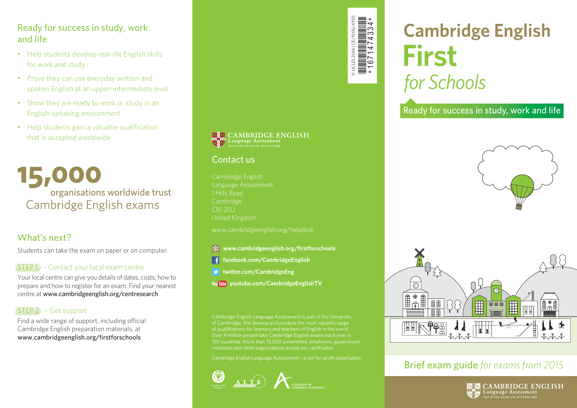#### Ready for success in study, work and life

- Help students develop real-life English skills for work and study
- Prove they can use everyday written and spoken English at an upper-intermediate level
- Show they are ready to work or study in an English-speaking environment
- Help students gain a valuable qualification that is accepted worldwide

15,000 organisations worldwide trust Cambridge English exams

#### What's next?

Students can take the exam on paper or on computer.

#### STEP 1 – Contact your local exam centre

Your local centre can give you details of dates, costs, how to prepare and how to register for an exam. Find your nearest centre at www.cambridgeenglish.org/centresearch

#### STEP 2 – Get support

Find a wide range of support, including official Cambridge English preparation materials, at www.cambridgeenglish.org/firstforschools



© UCLES 2014 | CE/1005/4Y05 \*1671474334\*

Cambridge English Language Assessment 1 Hills Road Cambridge United Kingdom

www.cambridgeenglish.org/helpdesk

- *Www.cambridgeenglish.org/firstforschools*
- **facebook.com/CambridgeEnglish**
- **twitter.com/CambridgeEng**
- **youtube.com/CambridgeEnglishTV**

Cambridge English Language Assessment is part of the University of Cambridge. We develop and produce the most valuable range of qualifications for learners and teachers of English in the world. Over 4 million people take Cambridge English exams each year in 130 countries. More than 15,000 universities, employers, government ministries and other organisations accept our certificates.

Cambridge English Language Assessment – a not-for-profit organisation.



# **Cambridge English First** for Schools

Ready for success in study, work and life





# Brief exam guide *for exams from 2015*